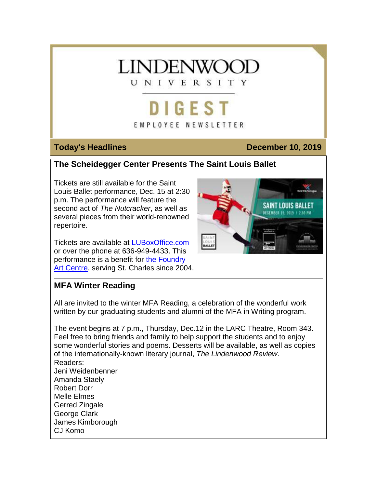

# **DIGEST**

### EMPLOYEE NEWSLETTER

### **Today's Headlines December 10, 2019**

### **The Scheidegger Center Presents The Saint Louis Ballet**

Tickets are still available for the Saint Louis Ballet performance, Dec. 15 at 2:30 p.m. The performance will feature the second act of *The Nutcracker*, as well as several pieces from their world-renowned repertoire.

Tickets are available at [LUBoxOffice.com](https://hes32-ctp.trendmicro.com/wis/clicktime/v1/query?url=https%3a%2f%2fcustapp.marketvolt.com%2flink%2fXcdPoBLULr%3fCM%3d1433315066%26X%3d70525052&umid=5084e5cb-9a47-421f-9738-e0d1e4bf19f4&auth=bc7ac43e330fa629f0cfb11786c85e83c10d06b8-3b7c3d54b7dbdddbdafc22de2a05473352134656) or over the phone at 636-949-4433. This performance is a benefit for [the Foundry](https://hes32-ctp.trendmicro.com/wis/clicktime/v1/query?url=https%3a%2f%2fcustapp.marketvolt.com%2flink%2f9Fi9pzhXsB%3fCM%3d1433315066%26X%3d70525052&umid=5084e5cb-9a47-421f-9738-e0d1e4bf19f4&auth=bc7ac43e330fa629f0cfb11786c85e83c10d06b8-7fb8ee060a8a2c956f0f46273a83b3732016c85b)  [Art Centre,](https://hes32-ctp.trendmicro.com/wis/clicktime/v1/query?url=https%3a%2f%2fcustapp.marketvolt.com%2flink%2f9Fi9pzhXsB%3fCM%3d1433315066%26X%3d70525052&umid=5084e5cb-9a47-421f-9738-e0d1e4bf19f4&auth=bc7ac43e330fa629f0cfb11786c85e83c10d06b8-7fb8ee060a8a2c956f0f46273a83b3732016c85b) serving St. Charles since 2004.



### **MFA Winter Reading**

All are invited to the winter MFA Reading, a celebration of the wonderful work written by our graduating students and alumni of the MFA in Writing program.

The event begins at 7 p.m., Thursday, Dec.12 in the LARC Theatre, Room 343. Feel free to bring friends and family to help support the students and to enjoy some wonderful stories and poems. Desserts will be available, as well as copies of the internationally-known literary journal, *The Lindenwood Review*. Readers: Jeni Weidenbenner Amanda Staely Robert Dorr Melle Elmes Gerred Zingale George Clark James Kimborough CJ Komo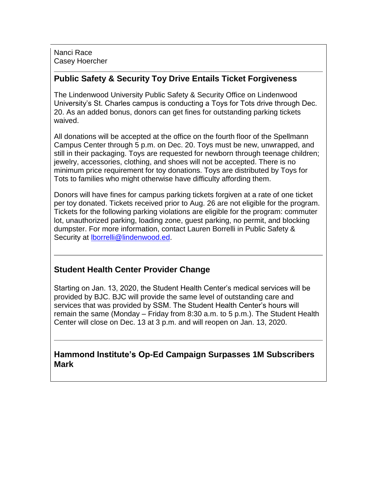Nanci Race Casey Hoercher

### **Public Safety & Security Toy Drive Entails Ticket Forgiveness**

The Lindenwood University Public Safety & Security Office on Lindenwood University's St. Charles campus is conducting a Toys for Tots drive through Dec. 20. As an added bonus, donors can get fines for outstanding parking tickets waived.

All donations will be accepted at the office on the fourth floor of the Spellmann Campus Center through 5 p.m. on Dec. 20. Toys must be new, unwrapped, and still in their packaging. Toys are requested for newborn through teenage children; jewelry, accessories, clothing, and shoes will not be accepted. There is no minimum price requirement for toy donations. Toys are distributed by Toys for Tots to families who might otherwise have difficulty affording them.

Donors will have fines for campus parking tickets forgiven at a rate of one ticket per toy donated. Tickets received prior to Aug. 26 are not eligible for the program. Tickets for the following parking violations are eligible for the program: commuter lot, unauthorized parking, loading zone, guest parking, no permit, and blocking dumpster. For more information, contact Lauren Borrelli in Public Safety & Security at [lborrelli@lindenwood.ed.](mailto:lborrelli@lindenwood.ed)

### **Student Health Center Provider Change**

Starting on Jan. 13, 2020, the Student Health Center's medical services will be provided by BJC. BJC will provide the same level of outstanding care and services that was provided by SSM. The Student Health Center's hours will remain the same (Monday – Friday from 8:30 a.m. to 5 p.m.). The Student Health Center will close on Dec. 13 at 3 p.m. and will reopen on Jan. 13, 2020.

### **Hammond Institute's Op-Ed Campaign Surpasses 1M Subscribers Mark**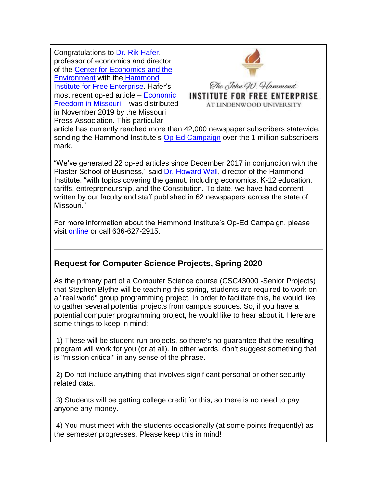Congratulations to [Dr. Rik Hafer,](https://hes32-ctp.trendmicro.com/wis/clicktime/v1/query?url=https%3a%2f%2fcustapp.marketvolt.com%2flink%2f7nHe9BkCl7%3fCM%3d1433315066%26X%3d70525052&umid=5084e5cb-9a47-421f-9738-e0d1e4bf19f4&auth=bc7ac43e330fa629f0cfb11786c85e83c10d06b8-f817cb9e250426df9eac00f719436b698b6b6d4e) professor of economics and director of the [Center for Economics and the](https://hes32-ctp.trendmicro.com/wis/clicktime/v1/query?url=https%3a%2f%2fcustapp.marketvolt.com%2flink%2fUlpF9xymVE%3fCM%3d1433315066%26X%3d70525052&umid=5084e5cb-9a47-421f-9738-e0d1e4bf19f4&auth=bc7ac43e330fa629f0cfb11786c85e83c10d06b8-aedf6db4c79f0c1f622b7cae58a7269932e80dfc)  [Environment](https://hes32-ctp.trendmicro.com/wis/clicktime/v1/query?url=https%3a%2f%2fcustapp.marketvolt.com%2flink%2fUlpF9xymVE%3fCM%3d1433315066%26X%3d70525052&umid=5084e5cb-9a47-421f-9738-e0d1e4bf19f4&auth=bc7ac43e330fa629f0cfb11786c85e83c10d06b8-aedf6db4c79f0c1f622b7cae58a7269932e80dfc) with the [Hammond](https://hes32-ctp.trendmicro.com/wis/clicktime/v1/query?url=https%3a%2f%2fcustapp.marketvolt.com%2flink%2fHyfzrIIyKZ%3fCM%3d1433315066%26X%3d70525052&umid=5084e5cb-9a47-421f-9738-e0d1e4bf19f4&auth=bc7ac43e330fa629f0cfb11786c85e83c10d06b8-3985cdb8a1ad9a68b7cfbd57b507a7207cf668ff)  [Institute for Free Enterprise.](https://hes32-ctp.trendmicro.com/wis/clicktime/v1/query?url=https%3a%2f%2fcustapp.marketvolt.com%2flink%2fHyfzrIIyKZ%3fCM%3d1433315066%26X%3d70525052&umid=5084e5cb-9a47-421f-9738-e0d1e4bf19f4&auth=bc7ac43e330fa629f0cfb11786c85e83c10d06b8-3985cdb8a1ad9a68b7cfbd57b507a7207cf668ff) Hafer's most recent op-ed article – [Economic](https://hes32-ctp.trendmicro.com/wis/clicktime/v1/query?url=https%3a%2f%2fcustapp.marketvolt.com%2flink%2fLzXaLyGhPt%3fCM%3d1433315066%26X%3d70525052&umid=5084e5cb-9a47-421f-9738-e0d1e4bf19f4&auth=bc7ac43e330fa629f0cfb11786c85e83c10d06b8-2e11f50f39209e1b962c0b4a1b281aca928db1d0)  [Freedom in Missouri](https://hes32-ctp.trendmicro.com/wis/clicktime/v1/query?url=https%3a%2f%2fcustapp.marketvolt.com%2flink%2fLzXaLyGhPt%3fCM%3d1433315066%26X%3d70525052&umid=5084e5cb-9a47-421f-9738-e0d1e4bf19f4&auth=bc7ac43e330fa629f0cfb11786c85e83c10d06b8-2e11f50f39209e1b962c0b4a1b281aca928db1d0) – was distributed in November 2019 by the Missouri Press Association. This particular



The John W. Hammond **INSTITUTE FOR FREE ENTERPRISE** AT LINDENWOOD UNIVERSITY

article has currently reached more than 42,000 newspaper subscribers statewide, sending the Hammond Institute's [Op-Ed Campaign](https://hes32-ctp.trendmicro.com/wis/clicktime/v1/query?url=https%3a%2f%2fcustapp.marketvolt.com%2flink%2fed6myGKSUf%3fCM%3d1433315066%26X%3d70525052&umid=5084e5cb-9a47-421f-9738-e0d1e4bf19f4&auth=bc7ac43e330fa629f0cfb11786c85e83c10d06b8-2f82792c31769cb462cc401defa7ec823729e5d4) over the 1 million subscribers mark.

"We've generated 22 op-ed articles since December 2017 in conjunction with the Plaster School of Business," said [Dr. Howard Wall,](https://hes32-ctp.trendmicro.com/wis/clicktime/v1/query?url=https%3a%2f%2fcustapp.marketvolt.com%2flink%2f4P9iCHVwbE%3fCM%3d1433315066%26X%3d70525052&umid=5084e5cb-9a47-421f-9738-e0d1e4bf19f4&auth=bc7ac43e330fa629f0cfb11786c85e83c10d06b8-ad0a0627dfe9ec39b5a10add570856678dc84220) director of the Hammond Institute, "with topics covering the gamut, including economics, K-12 education, tariffs, entrepreneurship, and the Constitution. To date, we have had content written by our faculty and staff published in 62 newspapers across the state of Missouri."

For more information about the Hammond Institute's Op-Ed Campaign, please visit [online](https://hes32-ctp.trendmicro.com/wis/clicktime/v1/query?url=https%3a%2f%2fcustapp.marketvolt.com%2flink%2fHyfzrIIyKZ%3fCM%3d1433315066%26X%3d70525052&umid=5084e5cb-9a47-421f-9738-e0d1e4bf19f4&auth=bc7ac43e330fa629f0cfb11786c85e83c10d06b8-3985cdb8a1ad9a68b7cfbd57b507a7207cf668ff) or call 636-627-2915.

### **Request for Computer Science Projects, Spring 2020**

As the primary part of a Computer Science course (CSC43000 -Senior Projects) that Stephen Blythe will be teaching this spring, students are required to work on a "real world" group programming project. In order to facilitate this, he would like to gather several potential projects from campus sources. So, if you have a potential computer programming project, he would like to hear about it. Here are some things to keep in mind:

1) These will be student-run projects, so there's no guarantee that the resulting program will work for you (or at all). In other words, don't suggest something that is "mission critical" in any sense of the phrase.

2) Do not include anything that involves significant personal or other security related data.

3) Students will be getting college credit for this, so there is no need to pay anyone any money.

4) You must meet with the students occasionally (at some points frequently) as the semester progresses. Please keep this in mind!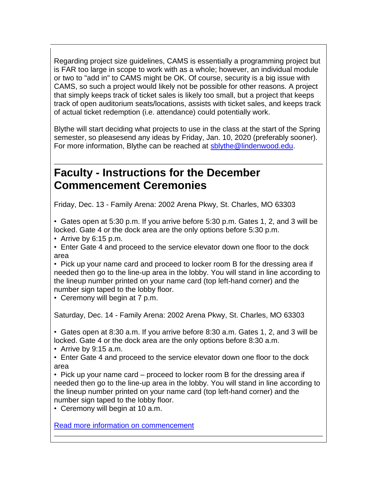Regarding project size guidelines, CAMS is essentially a programming project but is FAR too large in scope to work with as a whole; however, an individual module or two to "add in" to CAMS might be OK. Of course, security is a big issue with CAMS, so such a project would likely not be possible for other reasons. A project that simply keeps track of ticket sales is likely too small, but a project that keeps track of open auditorium seats/locations, assists with ticket sales, and keeps track of actual ticket redemption (i.e. attendance) could potentially work.

Blythe will start deciding what projects to use in the class at the start of the Spring semester, so pleasesend any ideas by Friday, Jan. 10, 2020 (preferably sooner). For more information, Blythe can be reached at [sblythe@lindenwood.edu.](mailto:sblythe@lindenwood.edu)

### **Faculty - Instructions for the December Commencement Ceremonies**

Friday, Dec. 13 - Family Arena: 2002 Arena Pkwy, St. Charles, MO 63303

• Gates open at 5:30 p.m. If you arrive before 5:30 p.m. Gates 1, 2, and 3 will be locked. Gate 4 or the dock area are the only options before 5:30 p.m.

• Arrive by 6:15 p.m.

• Enter Gate 4 and proceed to the service elevator down one floor to the dock area

• Pick up your name card and proceed to locker room B for the dressing area if needed then go to the line-up area in the lobby. You will stand in line according to the lineup number printed on your name card (top left-hand corner) and the number sign taped to the lobby floor.

• Ceremony will begin at 7 p.m.

Saturday, Dec. 14 - Family Arena: 2002 Arena Pkwy, St. Charles, MO 63303

• Gates open at 8:30 a.m. If you arrive before 8:30 a.m. Gates 1, 2, and 3 will be locked. Gate 4 or the dock area are the only options before 8:30 a.m.

• Arrive by 9:15 a.m.

• Enter Gate 4 and proceed to the service elevator down one floor to the dock area

• Pick up your name card – proceed to locker room B for the dressing area if needed then go to the line-up area in the lobby. You will stand in line according to the lineup number printed on your name card (top left-hand corner) and the number sign taped to the lobby floor.

• Ceremony will begin at 10 a.m.

Read more information on [commencement](https://hes32-ctp.trendmicro.com/wis/clicktime/v1/query?url=https%3a%2f%2fcustapp.marketvolt.com%2flink%2fvHViMvZrvl%3fCM%3d1433315066%26X%3d70525052&umid=5084e5cb-9a47-421f-9738-e0d1e4bf19f4&auth=bc7ac43e330fa629f0cfb11786c85e83c10d06b8-6b2108fd59b29a89558acddcbc145f7c847e5c17)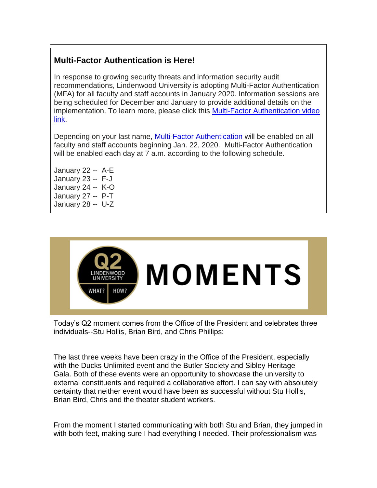### **Multi-Factor Authentication is Here!**

In response to growing security threats and information security audit recommendations, Lindenwood University is adopting Multi-Factor Authentication (MFA) for all faculty and staff accounts in January 2020. Information sessions are being scheduled for December and January to provide additional details on the implementation. To learn more, please click this [Multi-Factor Authentication video](https://hes32-ctp.trendmicro.com/wis/clicktime/v1/query?url=https%3a%2f%2fcustapp.marketvolt.com%2flink%2fuds5Co1vsH%3fCM%3d1433315066%26X%3d70525052&umid=5084e5cb-9a47-421f-9738-e0d1e4bf19f4&auth=bc7ac43e330fa629f0cfb11786c85e83c10d06b8-b571e12ac8f062f61d41f8763b16c2b80cfdcb03)  [link.](https://hes32-ctp.trendmicro.com/wis/clicktime/v1/query?url=https%3a%2f%2fcustapp.marketvolt.com%2flink%2fuds5Co1vsH%3fCM%3d1433315066%26X%3d70525052&umid=5084e5cb-9a47-421f-9738-e0d1e4bf19f4&auth=bc7ac43e330fa629f0cfb11786c85e83c10d06b8-b571e12ac8f062f61d41f8763b16c2b80cfdcb03)

Depending on your last name, [Multi-Factor Authentication](https://hes32-ctp.trendmicro.com/wis/clicktime/v1/query?url=https%3a%2f%2fcustapp.marketvolt.com%2flink%2fZf4DkEKEr5%3fCM%3d1433315066%26X%3d70525052&umid=5084e5cb-9a47-421f-9738-e0d1e4bf19f4&auth=bc7ac43e330fa629f0cfb11786c85e83c10d06b8-e77f52b7301711df75275d4d972dcc30bbb0ca27) will be enabled on all faculty and staff accounts beginning Jan. 22, 2020. Multi-Factor Authentication will be enabled each day at 7 a.m. according to the following schedule.

January 22 -- A-E January 23 -- F-J January 24 -- K-O January 27 -- P-T January 28 -- U-Z



Today's Q2 moment comes from the Office of the President and celebrates three individuals--Stu Hollis, Brian Bird, and Chris Phillips:

The last three weeks have been crazy in the Office of the President, especially with the Ducks Unlimited event and the Butler Society and Sibley Heritage Gala. Both of these events were an opportunity to showcase the university to external constituents and required a collaborative effort. I can say with absolutely certainty that neither event would have been as successful without Stu Hollis, Brian Bird, Chris and the theater student workers.

From the moment I started communicating with both Stu and Brian, they jumped in with both feet, making sure I had everything I needed. Their professionalism was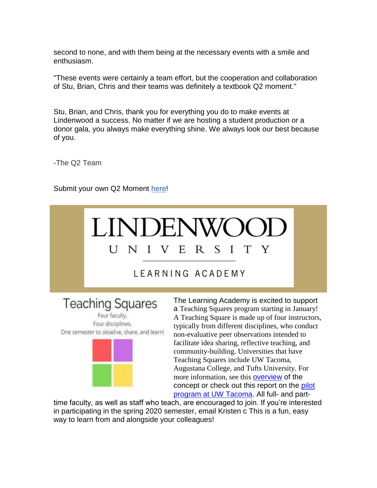second to none, and with them being at the necessary events with a smile and enthusiasm.

"These events were certainly a team effort, but the cooperation and collaboration of Stu, Brian, Chris and their teams was definitely a textbook Q2 moment."

Stu, Brian, and Chris, thank you for everything you do to make events at Lindenwood a success. No matter if we are hosting a student production or a donor gala, you always make everything shine. We always look our best because of you.

-The Q2 Team

Submit your own Q2 Moment [here!](https://hes32-ctp.trendmicro.com/wis/clicktime/v1/query?url=https%3a%2f%2fcustapp.marketvolt.com%2flink%2fVKEkRbfQ9E%3fCM%3d1433315066%26X%3d70525052&umid=5084e5cb-9a47-421f-9738-e0d1e4bf19f4&auth=bc7ac43e330fa629f0cfb11786c85e83c10d06b8-27404d889b0650fccf1de574bf9dd4e9cf970c53)



Four faculty. Four disciplines. One semester to obseive, share, and learn!



a Teaching Squares program starting in January! A Teaching Square is made up of four instructors, typically from different disciplines, who conduct non-evaluative peer observations intended to facilitate idea sharing, reflective teaching, and community-building. Universities that have Teaching Squares include UW Tacoma, Augustana College, and Tufts University. For more information, see this [overview](https://hes32-ctp.trendmicro.com/wis/clicktime/v1/query?url=https%3a%2f%2fcustapp.marketvolt.com%2flink%2fCnBeRN8IGv%3fCM%3d1433315066%26X%3d70525052&umid=5084e5cb-9a47-421f-9738-e0d1e4bf19f4&auth=bc7ac43e330fa629f0cfb11786c85e83c10d06b8-4cd7abd68395490387a4a6c1e8636761881f35ba) of the concept or check out this report on the [pilot](https://hes32-ctp.trendmicro.com/wis/clicktime/v1/query?url=https%3a%2f%2fcustapp.marketvolt.com%2flink%2fZztngaVHkm%3fCM%3d1433315066%26X%3d70525052&umid=5084e5cb-9a47-421f-9738-e0d1e4bf19f4&auth=bc7ac43e330fa629f0cfb11786c85e83c10d06b8-0bf0d98c6f4def07aa47b0fa21e369b811fea798)  [program at UW Tacoma.](https://hes32-ctp.trendmicro.com/wis/clicktime/v1/query?url=https%3a%2f%2fcustapp.marketvolt.com%2flink%2fZztngaVHkm%3fCM%3d1433315066%26X%3d70525052&umid=5084e5cb-9a47-421f-9738-e0d1e4bf19f4&auth=bc7ac43e330fa629f0cfb11786c85e83c10d06b8-0bf0d98c6f4def07aa47b0fa21e369b811fea798) All full- and part-

time faculty, as well as staff who teach, are encouraged to join. If you're interested in participating in the spring 2020 semester, email Kristen c This is a fun, easy way to learn from and alongside your colleagues!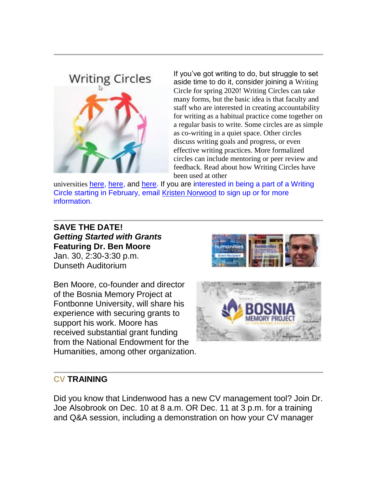## **Writing Circles**



If you've got writing to do, but struggle to set aside time to do it, consider joining a Writing Circle for spring 2020! Writing Circles can take many forms, but the basic idea is that faculty and staff who are interested in creating accountability for writing as a habitual practice come together on a regular basis to write. Some circles are as simple as co-writing in a quiet space. Other circles discuss writing goals and progress, or even effective writing practices. More formalized circles can include mentoring or peer review and feedback. Read about how Writing Circles have been used at other

universities [here,](https://hes32-ctp.trendmicro.com/wis/clicktime/v1/query?url=https%3a%2f%2fcustapp.marketvolt.com%2flink%2fmCXAFLc1DN%3fCM%3d1433315066%26X%3d70525052&umid=5084e5cb-9a47-421f-9738-e0d1e4bf19f4&auth=bc7ac43e330fa629f0cfb11786c85e83c10d06b8-c62870cc26249b04836b89beb99158b21f1591b6) here, and [here.](https://hes32-ctp.trendmicro.com/wis/clicktime/v1/query?url=https%3a%2f%2fcustapp.marketvolt.com%2flink%2ffwgRmKECzC%3fCM%3d1433315066%26X%3d70525052&umid=5084e5cb-9a47-421f-9738-e0d1e4bf19f4&auth=bc7ac43e330fa629f0cfb11786c85e83c10d06b8-bad778ef8168353b89ffad651e713effe7151ec3) If you are interested in being a part of a Writing Circle starting in February, email [Kristen Norwood](mailto:knorwood@lindenwood.edu%E2%80%8B) to sign up or for more information.

### **SAVE THE DATE!** *Getting Started with Grants* **Featuring Dr. Ben Moore** Jan. 30, 2:30-3:30 p.m. Dunseth Auditorium

Ben Moore, co-founder and director of the Bosnia Memory Project at Fontbonne University, will share his experience with securing grants to support his work. Moore has received substantial grant funding from the National Endowment for the Humanities, among other organization.





### **CV TRAINING**

Did you know that Lindenwood has a new CV management tool? Join Dr. Joe Alsobrook on Dec. 10 at 8 a.m. OR Dec. 11 at 3 p.m. for a training and Q&A session, including a demonstration on how your CV manager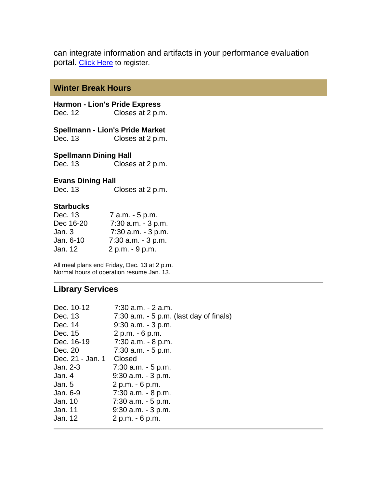can integrate information and artifacts in your performance evaluation portal. [Click Here](https://hes32-ctp.trendmicro.com/wis/clicktime/v1/query?url=https%3a%2f%2fcustapp.marketvolt.com%2flink%2fbgze8f5Cci%3fCM%3d1433315066%26X%3d70525052&umid=5084e5cb-9a47-421f-9738-e0d1e4bf19f4&auth=bc7ac43e330fa629f0cfb11786c85e83c10d06b8-920c4e583bd724ec262a50389cb478ae08aa011d) to register.

### **Winter Break Hours**

**Harmon - Lion's Pride Express** Dec. 12 Closes at 2 p.m.

**Spellmann - Lion's Pride Market** Dec. 13 Closes at 2 p.m.

**Spellmann Dining Hall**

Dec. 13 Closes at 2 p.m.

#### **Evans Dining Hall**

Dec. 13 Closes at 2 p.m.

### **Starbucks**

| Dec. 13   | 7 a.m. - 5 p.m.       |
|-----------|-----------------------|
| Dec 16-20 | $7:30$ a.m. $-3$ p.m. |
| Jan. 3    | $7:30$ a.m. $-3$ p.m. |
| Jan. 6-10 | $7:30$ a.m. $-3$ p.m. |
| Jan. 12   | 2 p.m. - 9 p.m.       |

All meal plans end Friday, Dec. 13 at 2 p.m. Normal hours of operation resume Jan. 13.

### **Library Services**

| Dec. 10-12       | $7:30$ a.m. $-2$ a.m.                      |
|------------------|--------------------------------------------|
| Dec. 13          | $7:30$ a.m. $-5$ p.m. (last day of finals) |
| Dec. 14          | $9:30$ a.m. $-3$ p.m.                      |
| Dec. 15          | 2 p.m. - 6 p.m.                            |
| Dec. 16-19       | 7:30 a.m. - 8 p.m.                         |
| Dec. 20          | $7:30$ a.m. $-5$ p.m.                      |
| Dec. 21 - Jan. 1 | Closed                                     |
| Jan. 2-3         | $7:30$ a.m. $-5$ p.m.                      |
| Jan. 4           | $9:30$ a.m. $-3$ p.m.                      |
| Jan. 5           | 2 p.m. - 6 p.m.                            |
| Jan. 6-9         | $7:30$ a.m. $-8$ p.m.                      |
| Jan. 10          | $7:30$ a.m. $-5$ p.m.                      |
| Jan. 11          | $9:30$ a.m. $-3$ p.m.                      |
| Jan. 12          | 2 p.m. - 6 p.m.                            |
|                  |                                            |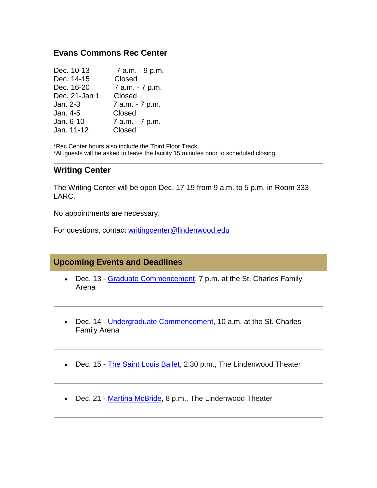### **Evans Commons Rec Center**

| Dec. 10-13    | 7 a.m. - 9 p.m. |
|---------------|-----------------|
| Dec. 14-15    | Closed          |
| Dec. 16-20    | 7 a.m. - 7 p.m. |
| Dec. 21-Jan 1 | Closed          |
| Jan. 2-3      | 7 a.m. - 7 p.m. |
| Jan. 4-5      | Closed          |
| Jan. 6-10     | 7 a.m. - 7 p.m. |
| Jan. 11-12    | Closed          |

\*Rec Center hours also include the Third Floor Track. \*All guests will be asked to leave the facility 15 minutes prior to scheduled closing.

### **Writing Center**

The Writing Center will be open Dec. 17-19 from 9 a.m. to 5 p.m. in Room 333 LARC.

No appointments are necessary.

For questions, contact [writingcenter@lindenwood.edu](mailto:writingcenter@lindenwood.edu)

### **Upcoming Events and Deadlines**

- Dec. 13 [Graduate Commencement,](https://hes32-ctp.trendmicro.com/wis/clicktime/v1/query?url=https%3a%2f%2fcustapp.marketvolt.com%2flink%2foHHAisESIG%3fCM%3d1433315066%26X%3d70525052&umid=5084e5cb-9a47-421f-9738-e0d1e4bf19f4&auth=bc7ac43e330fa629f0cfb11786c85e83c10d06b8-428074052517e217d3cf50ee0919833a46d6383d) 7 p.m. at the St. Charles Family Arena
- Dec. 14 [Undergraduate Commencement,](https://hes32-ctp.trendmicro.com/wis/clicktime/v1/query?url=https%3a%2f%2fcustapp.marketvolt.com%2flink%2fmdsq12fqw5%3fCM%3d1433315066%26X%3d70525052&umid=5084e5cb-9a47-421f-9738-e0d1e4bf19f4&auth=bc7ac43e330fa629f0cfb11786c85e83c10d06b8-265e12d7bae1f26b97062218c6af01c1139e6f19) 10 a.m. at the St. Charles Family Arena
- Dec. 15 [The Saint Louis Ballet,](https://hes32-ctp.trendmicro.com/wis/clicktime/v1/query?url=https%3a%2f%2fcustapp.marketvolt.com%2flink%2fsFKDUVSF6e%3fCM%3d1433315066%26X%3d70525052&umid=5084e5cb-9a47-421f-9738-e0d1e4bf19f4&auth=bc7ac43e330fa629f0cfb11786c85e83c10d06b8-4e3a14e6494302e564b311378a313dfb89354b62) 2:30 p.m., The Lindenwood Theater
- Dec. 21 [Martina McBride,](https://hes32-ctp.trendmicro.com/wis/clicktime/v1/query?url=https%3a%2f%2fcustapp.marketvolt.com%2flink%2fgW38iyCREW%3fCM%3d1433315066%26X%3d70525052&umid=5084e5cb-9a47-421f-9738-e0d1e4bf19f4&auth=bc7ac43e330fa629f0cfb11786c85e83c10d06b8-3f44e1f8451623ff5da9e8be0759e938a0abd541) 8 p.m., The Lindenwood Theater